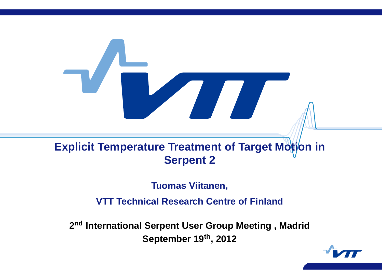# **Explicit Temperature Treatment of Target Motion in Serpent 2**

**Tuomas Viitanen,**

**VTT Technical Research Centre of Finland**

**<sup>2</sup>nd International Serpent User Group Meeting , Madrid September <sup>19</sup>th, <sup>2012</sup>**

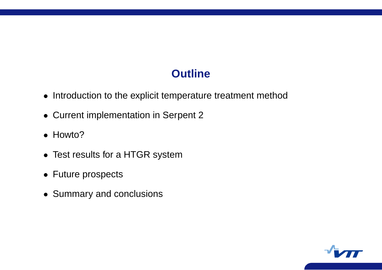# **Outline**

- Introduction to the explicit temperature treatment method
- Current implementation in Serpent 2
- Howto?
- Test results for <sup>a</sup> HTGR system
- Future prospects
- Summary and conclusions

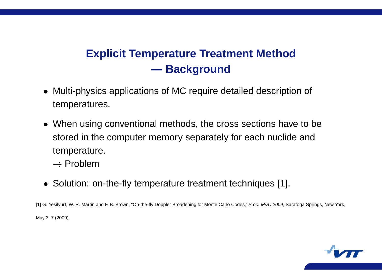# **Explicit Temperature Treatment Method — Background**

- Multi-physics applications of MC require detailed description of temperatures.
- When using conventional methods, the cross sections have to be stored in the computer memory separately for each nuclide an d temperature.
	- $\rightarrow$  Problem
- Solution: on-the-fly temperature treatment techniques [1].

[1] G. Yesilyurt, W. R. Martin and F. B. Brown, "On-the-fly Doppler Broadening for Monte Carlo Codes," Proc. M&C 2009, Saratoga Springs, New York, May 3–7 (2009).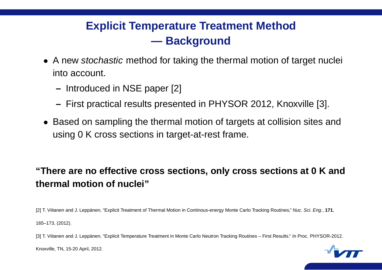# **Explicit Temperature Treatment Method — Background**

- A new *stochastic* method for taking the thermal motion of target nuclei into account.
	- **–** Introduced in NSE paper [2]
	- **–** First practical results presented in PHYSOR 2012, Knoxville [3].
- Based on sampling the thermal motion of targets at collision sites and using 0 K cross sections in target-at-rest frame.

#### "There are no effective cross sections, only cross sections at 0 K and **thermal motion of nuclei"**

[2] T. Viitanen and J. Leppänen, "Explicit Treatment of Thermal Motion in Continous-energy Monte Carlo Tracking Routines," Nuc. Sci. Eng., **171**, 165–173, (2012).

[3] T. Viitanen and J. Leppänen, "Explicit Temperature Treatment in Monte Carlo Neutron Tracking Routines – First Results." In Proc. PHYSOR-2012.



Knoxville, TN, 15-20 April, 2012.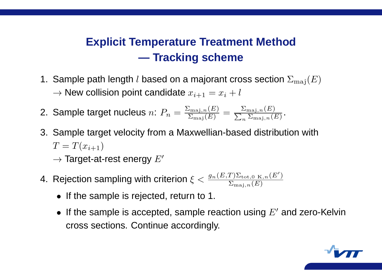# **Explicit Temperature Treatment Method — Tracking scheme**

- 1. Sample path length  $l$  based on a majorant cross section  $\Sigma_{\rm maj}(E)$  $\rightarrow$  New collision point candidate  $x_{i+1} = x_i + b_i$
- 2. Sample target nucleus  $n\colon P_n=\frac{\Sigma_{\mathrm{maj},n}(E)}{\Sigma_{\mathrm{maj}}(E)}=\frac{\Sigma_{\mathrm{maj},n}(E)}{\sum_n\Sigma_{\mathrm{maj},n}(E)}.$
- 3. Sample target velocity from <sup>a</sup> Maxwellian-based distribution with  $T=T(x_{i+1})$ 
	- $\rightarrow$  Target-at-rest energy  $E'$
- 4. Rejection sampling with criterion  $\xi < \frac{g_n(E,T)\Sigma_{\text{tot},0\;\mathrm{K},n}(E')}{\Sigma_{\text{tot},0\;\mathrm{K},n}(E')}$  $\Sigma_{{\rm maj},\,n}(E)$ 
	- If the sample is rejected, return to 1.
	- $\bullet\,$  If the sample is accepted, sample reaction using  $E^\prime$  and zero-Kelvin cross sections. Continue accordingly.

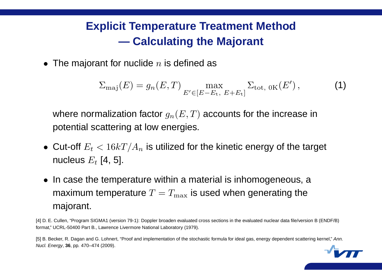# **Explicit Temperature Treatment Method — Calculating the Majorant**

 $\bullet\,$  The majorant for nuclide  $n$  is defined as

$$
\Sigma_{\text{maj}}(E) = g_n(E, T) \max_{E' \in [E - E_t, E + E_t]} \Sigma_{\text{tot, OK}}(E'), \tag{1}
$$

where normalization factor  $g_n(E,T)$  accounts for the increase in potential scattering at low energies.

- $\bullet\,$  Cut-off  $E_t < 16kT/A_n$  is utilized for the kinetic energy of the target nucleus  $E_t$  [4, 5].
- In case the temperature within <sup>a</sup> material is inhomogeneous, a maximum temperature  $T=T_{\rm max}$  is used when generating the majorant.

[4] D. E. Cullen, "Program SIGMA1 (version 79-1): Doppler broaden evaluated cross sections in the evaluated nuclear data file/version B (ENDF/B) format," UCRL-50400 Part B., Lawrence Livermore National Laboratory (1979).

[5] B. Becker, R. Dagan and G. Lohnert, "Proof and implementation of the stochastic formula for ideal gas, energy dependent scattering kernel," Ann. Nucl. Energy, **36**, pp. 470–474 (2009).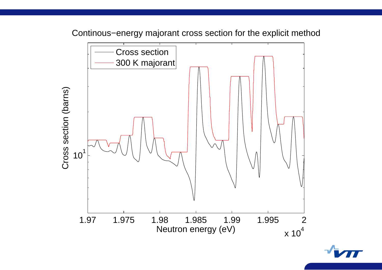Continous−energy majorant cross section for the explicit method

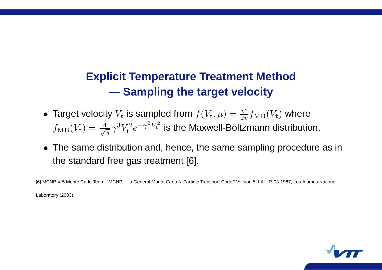# **Explicit Temperature Treatment Method — Sampling the target velocity**

- Target velocity  $V_t$  is sampled from  $f(V_t, \mu) = \frac{v'}{2t}$  $\frac{v}{2v} f_{\rm MB} (V_{\rm t})$  where  $f_{\rm MB}(V_{\rm t}) = \frac{4}{\sqrt{\pi}} \gamma^3 V_{\rm t}^2$  $\mathbf{t}^\text{-}e$  $-\gamma^2 V_t^2$  is the Maxwell-Boltzmann distribution.
- The same distribution and, hence, the same sampling procedure as in the standard free gas treatment [6].

[6] MCNP X-5 Monte Carlo Team, "MCNP — <sup>a</sup> General Monte Carlo N-Particle Transport Code," Version 5, LA-UR-03-1987, Los Alamos National Laboratory (2003).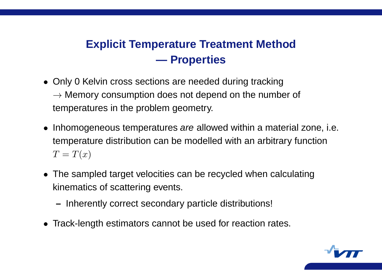## **Explicit Temperature Treatment Method — Properties**

- Only 0 Kelvin cross sections are needed during tracking  $\rightarrow$  Memory consumption does not depend on the number of temperatures in the problem geometry.
- Inhomogeneous temperatures are allowed within a material zone, i.e. temperature distribution can be modelled with an arbitrary function  $T=T(x)$
- The sampled target velocities can be recycled when calculating kinematics of scattering events.
	- **–** Inherently correct secondary particle distributions!
- Track-length estimators cannot be used for reaction rates.

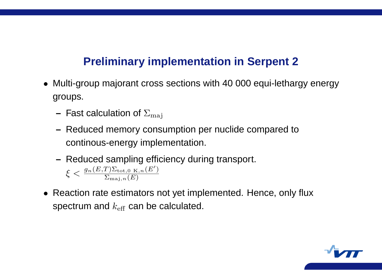## **Preliminary implementation in Serpent 2**

- Multi-group majorant cross sections with 40 000 equi-lethargy energy groups.
	- $-$  Fast calculation of  $\Sigma_{\rm{maj}}$
	- **–** Reduced memory consumption per nuclide compared to continous-energy implementation.
	- **–** Reduced sampling efficiency during transport.  $\xi < \frac{g_n(E,T)\Sigma_{\text{tot,0 K},n}(E')}{\Sigma_{\text{tot}}(E')}$  $\Sigma_{{\rm maj},\,n}(E)$
- Reaction rate estimators not yet implemented. Hence, only flux spectrum and  $k_\mathrm{eff}$  can be calculated.

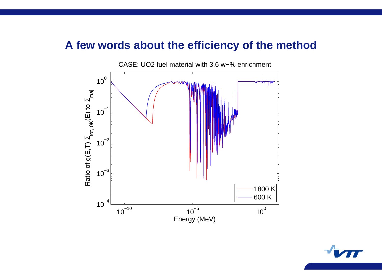#### **A few words about the efficiency of the method**

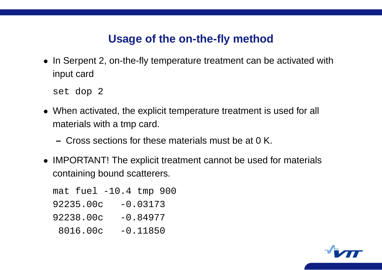## **Usage of the on-the-fly method**

• In Serpent 2, on-the-fly temperature treatment can be activated with input card

set dop 2

- When activated, the explicit temperature treatment is used for all materials with <sup>a</sup> tmp card.
	- **–** Cross sections for these materials must be at 0 K.
- IMPORTANT! The explicit treatment cannot be used for materials containing bound scatterers.

mat fuel -10.4 tmp 900 92235.00c -0.03173  $92238.00c -0.84977$ 8016.00c -0.11850

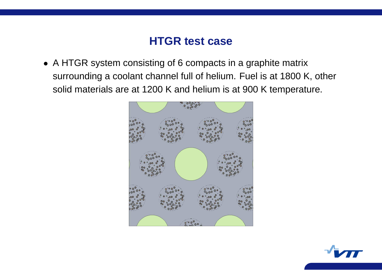## **HTGR test case**

• A HTGR system consisting of 6 compacts in <sup>a</sup> graphite matrix surrounding <sup>a</sup> coolant channel full of helium. Fuel is at 1800 K, other solid materials are at 1200 K and helium is at 900 K temperature.



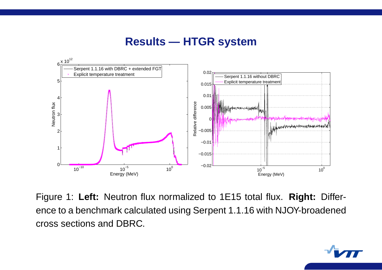### **Results — HTGR system**



Figure 1: **Left:** Neutron flux normalized to 1E15 total flux. **Right:** Difference to <sup>a</sup> benchmark calculated using Serpent 1.1.16 with NJOY-broadened cross sections and DBRC.

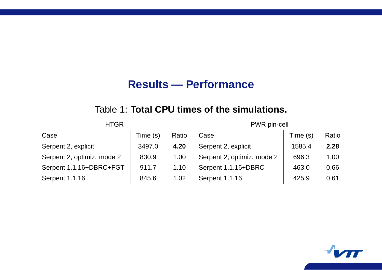## **Results — Performance**

#### Table 1: **Total CPU times of the simulations.**

| <b>HTGR</b>                |          |       | PWR pin-cell               |          |       |
|----------------------------|----------|-------|----------------------------|----------|-------|
| Case                       | Time (s) | Ratio | Case                       | Time (s) | Ratio |
| Serpent 2, explicit        | 3497.0   | 4.20  | Serpent 2, explicit        | 1585.4   | 2.28  |
| Serpent 2, optimiz. mode 2 | 830.9    | 1.00  | Serpent 2, optimiz. mode 2 | 696.3    | 1.00  |
| Serpent 1.1.16+DBRC+FGT    | 911.7    | 1.10  | Serpent 1.1.16+DBRC        | 463.0    | 0.66  |
| <b>Serpent 1.1.16</b>      | 845.6    | 1.02  | <b>Serpent 1.1.16</b>      | 425.9    | 0.61  |

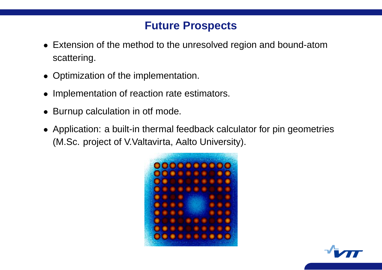## **Future Prospects**

- Extension of the method to the unresolved region and bound-atom scattering.
- Optimization of the implementation.
- Implementation of reaction rate estimators.
- Burnup calculation in otf mode.
- Application: <sup>a</sup> built-in thermal feedback calculator for pin geometries (M.Sc. project of V.Valtavirta, Aalto University).



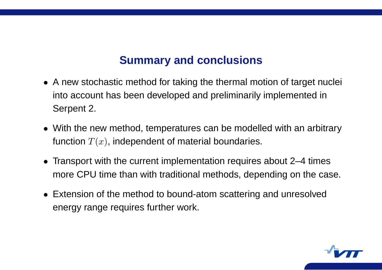## **Summary and conclusions**

- A new stochastic method for taking the thermal motion of target nuclei into account has been developed and preliminarily implemented in Serpent 2.
- With the new method, temperatures can be modelled with an arbitrary function  $T(x)$ , independent of material boundaries.
- Transport with the current implementation requires about 2–4 times more CPU time than with traditional methods, depending on the case.
- Extension of the method to bound-atom scattering and unresolved energy range requires further work.

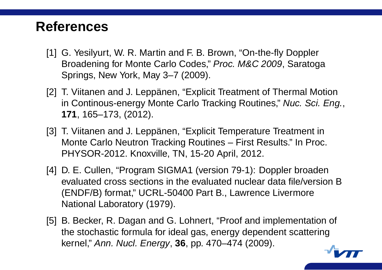# **References**

- [1] G. Yesilyurt, W. R. Martin and F. B. Brown, "On-the-fly Doppler Broadening for Monte Carlo Codes," Proc. M&C 2009, Saratoga Springs, New York, May 3–7 (2009).
- [2] T. Viitanen and J. Leppänen, "Explicit Treatment of Thermal Motion in Continous-energy Monte Carlo Tracking Routines," Nuc. Sci. Eng., **171**, 165–173, (2012).
- [3] T. Viitanen and J. Leppänen, "Explicit Temperature Treatment in Monte Carlo Neutron Tracking Routines – First Results." In Proc. PHYSOR-2012. Knoxville, TN, 15-20 April, 2012.
- [4] D. E. Cullen, "Program SIGMA1 (version 79-1): Doppler broaden evaluated cross sections in the evaluated nuclear data file/version B (ENDF/B) format," UCRL-50400 Part B., Lawrence Livermore National Laboratory (1979).
- [5] B. Becker, R. Dagan and G. Lohnert, "Proof and implementation of the stochastic formula for ideal gas, energy dependent scattering kernel," Ann. Nucl. Energy, **36**, pp. 470–474 (2009).